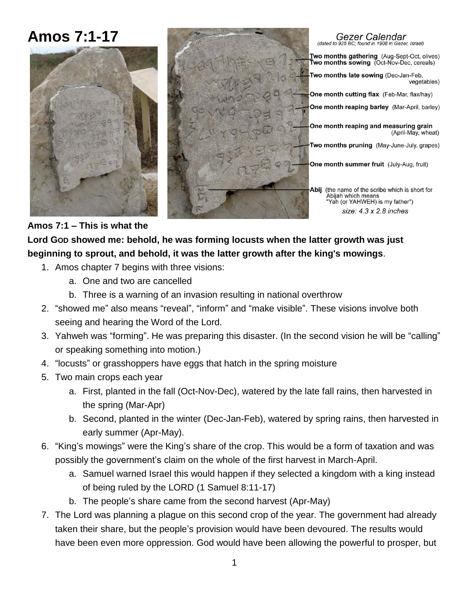# **Amos 7:1-17**  Gezer Calendar (dated to 925 BC: found in 1908 in Gezer, Israel) Two months gathering (Aug-Sept-Oct, olives) Two months sowing (Oct-Nov-Dec, cereals) Two months late sowing (Dec-Jan-Feb, **One month cutting flax** (Feb-Mar, flax/hay) One month reaping barley (Mar-April, barley) One month reaping and measuring grain wo months pruning (May-June-July, grapes) One month summer fruit (July-Aug, fruit) Abij (the name of the scribe which is short for Abijah which means "Yah (or YAHWEH) is my father")

vegetables)

(April-May, wheat)

size: 4.3 x 2.8 inches

**Amos 7:1 – This is what the** 

**Lord GOD showed me: behold, he was forming locusts when the latter growth was just beginning to sprout, and behold, it was the latter growth after the king's mowings**.

1. Amos chapter 7 begins with three visions:

 $\mathbf{r}$ 

- a. One and two are cancelled
- b. Three is a warning of an invasion resulting in national overthrow
- 2. "showed me" also means "reveal", "inform" and "make visible". These visions involve both seeing and hearing the Word of the Lord.
- 3. Yahweh was "forming". He was preparing this disaster. (In the second vision he will be "calling" or speaking something into motion.)
- 4. "locusts" or grasshoppers have eggs that hatch in the spring moisture
- 5. Two main crops each year
	- a. First, planted in the fall (Oct-Nov-Dec), watered by the late fall rains, then harvested in the spring (Mar-Apr)
	- b. Second, planted in the winter (Dec-Jan-Feb), watered by spring rains, then harvested in early summer (Apr-May).
- 6. "King's mowings" were the King's share of the crop. This would be a form of taxation and was possibly the government's claim on the whole of the first harvest in March-April.
	- a. Samuel warned Israel this would happen if they selected a kingdom with a king instead of being ruled by the LORD (1 Samuel 8:11-17)
	- b. The people's share came from the second harvest (Apr-May)
- 7. The Lord was planning a plague on this second crop of the year. The government had already taken their share, but the people's provision would have been devoured. The results would have been even more oppression. God would have been allowing the powerful to prosper, but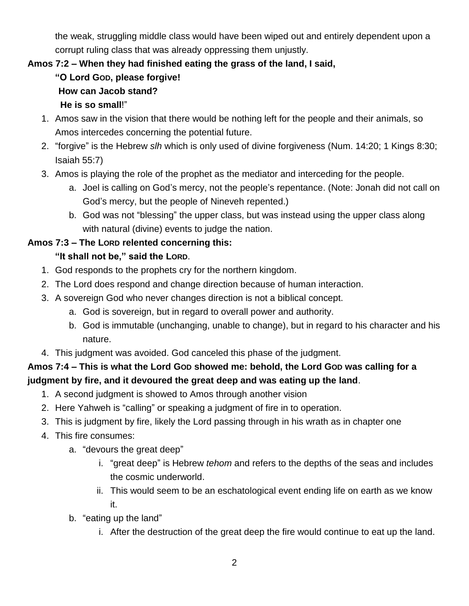the weak, struggling middle class would have been wiped out and entirely dependent upon a corrupt ruling class that was already oppressing them unjustly.

## **Amos 7:2 – When they had finished eating the grass of the land, I said,**

- **"O Lord GOD, please forgive! How can Jacob stand? He is so small**!"
- 1. Amos saw in the vision that there would be nothing left for the people and their animals, so Amos intercedes concerning the potential future.
- 2. "forgive" is the Hebrew *slh* which is only used of divine forgiveness (Num. 14:20; 1 Kings 8:30; Isaiah 55:7)
- 3. Amos is playing the role of the prophet as the mediator and interceding for the people.
	- a. Joel is calling on God's mercy, not the people's repentance. (Note: Jonah did not call on God's mercy, but the people of Nineveh repented.)
	- b. God was not "blessing" the upper class, but was instead using the upper class along with natural (divine) events to judge the nation.

## **Amos 7:3 – The LORD relented concerning this:**

## **"It shall not be," said the LORD**.

- 1. God responds to the prophets cry for the northern kingdom.
- 2. The Lord does respond and change direction because of human interaction.
- 3. A sovereign God who never changes direction is not a biblical concept.
	- a. God is sovereign, but in regard to overall power and authority.
	- b. God is immutable (unchanging, unable to change), but in regard to his character and his nature.
- 4. This judgment was avoided. God canceled this phase of the judgment.

## **Amos 7:4 – This is what the Lord GOD showed me: behold, the Lord GOD was calling for a judgment by fire, and it devoured the great deep and was eating up the land**.

- 1. A second judgment is showed to Amos through another vision
- 2. Here Yahweh is "calling" or speaking a judgment of fire in to operation.
- 3. This is judgment by fire, likely the Lord passing through in his wrath as in chapter one
- 4. This fire consumes:
	- a. "devours the great deep"
		- i. "great deep" is Hebrew *tehom* and refers to the depths of the seas and includes the cosmic underworld.
		- ii. This would seem to be an eschatological event ending life on earth as we know it.
	- b. "eating up the land"
		- i. After the destruction of the great deep the fire would continue to eat up the land.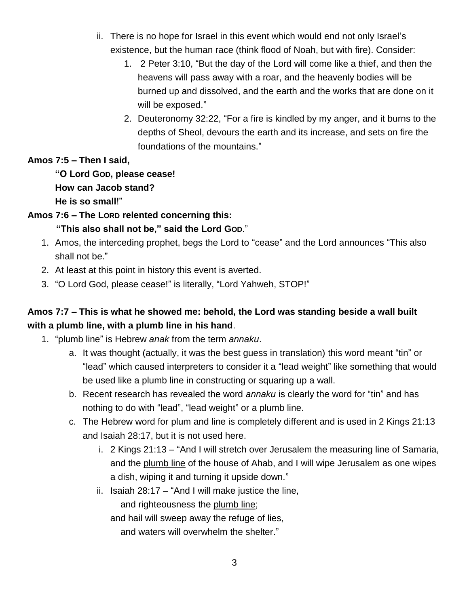- ii. There is no hope for Israel in this event which would end not only Israel's existence, but the human race (think flood of Noah, but with fire). Consider:
	- 1. 2 Peter 3:10, "But the day of the Lord will come like a thief, and then the heavens will pass away with a roar, and the heavenly bodies will be burned up and dissolved, and the earth and the works that are done on it will be exposed."
	- 2. Deuteronomy 32:22, "For a fire is kindled by my anger, and it burns to the depths of Sheol, devours the earth and its increase, and sets on fire the foundations of the mountains."

#### **Amos 7:5 – Then I said,**

## **"O Lord GOD, please cease! How can Jacob stand? He is so small**!"

### **Amos 7:6 – The LORD relented concerning this:**

### **"This also shall not be," said the Lord GOD**."

- 1. Amos, the interceding prophet, begs the Lord to "cease" and the Lord announces "This also shall not be."
- 2. At least at this point in history this event is averted.
- 3. "O Lord God, please cease!" is literally, "Lord Yahweh, STOP!"

# **Amos 7:7 – This is what he showed me: behold, the Lord was standing beside a wall built with a plumb line, with a plumb line in his hand**.

- 1. "plumb line" is Hebrew *anak* from the term *annaku*.
	- a. It was thought (actually, it was the best guess in translation) this word meant "tin" or "lead" which caused interpreters to consider it a "lead weight" like something that would be used like a plumb line in constructing or squaring up a wall.
	- b. Recent research has revealed the word *annaku* is clearly the word for "tin" and has nothing to do with "lead", "lead weight" or a plumb line.
	- c. The Hebrew word for plum and line is completely different and is used in 2 Kings 21:13 and Isaiah 28:17, but it is not used here.
		- i. 2 Kings 21:13 "And I will stretch over Jerusalem the measuring line of Samaria, and the plumb line of the house of Ahab, and I will wipe Jerusalem as one wipes a dish, wiping it and turning it upside down."
		- ii. Isaiah 28:17 "And I will make justice the line, and righteousness the plumb line; and hail will sweep away the refuge of lies, and waters will overwhelm the shelter."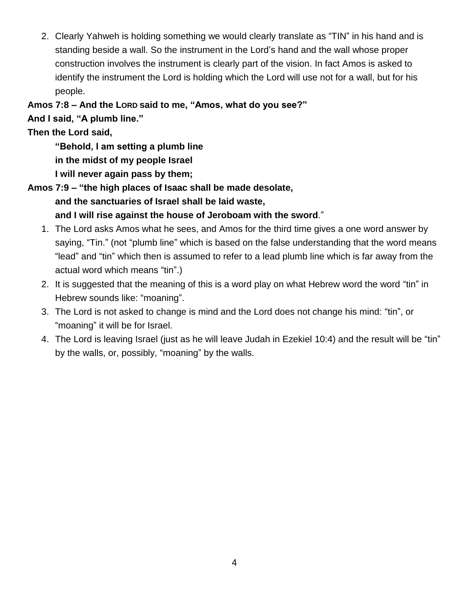2. Clearly Yahweh is holding something we would clearly translate as "TIN" in his hand and is standing beside a wall. So the instrument in the Lord's hand and the wall whose proper construction involves the instrument is clearly part of the vision. In fact Amos is asked to identify the instrument the Lord is holding which the Lord will use not for a wall, but for his people.

### **Amos 7:8 – And the LORD said to me, "Amos, what do you see?"**

**And I said, "A plumb line."** 

## **Then the Lord said,**

**"Behold, I am setting a plumb line in the midst of my people Israel**

**I will never again pass by them;**

**Amos 7:9 – "the high places of Isaac shall be made desolate, and the sanctuaries of Israel shall be laid waste, and I will rise against the house of Jeroboam with the sword**."

- 1. The Lord asks Amos what he sees, and Amos for the third time gives a one word answer by saying, "Tin." (not "plumb line" which is based on the false understanding that the word means "lead" and "tin" which then is assumed to refer to a lead plumb line which is far away from the actual word which means "tin".)
- 2. It is suggested that the meaning of this is a word play on what Hebrew word the word "tin" in Hebrew sounds like: "moaning".
- 3. The Lord is not asked to change is mind and the Lord does not change his mind: "tin", or "moaning" it will be for Israel.
- 4. The Lord is leaving Israel (just as he will leave Judah in Ezekiel 10:4) and the result will be "tin" by the walls, or, possibly, "moaning" by the walls.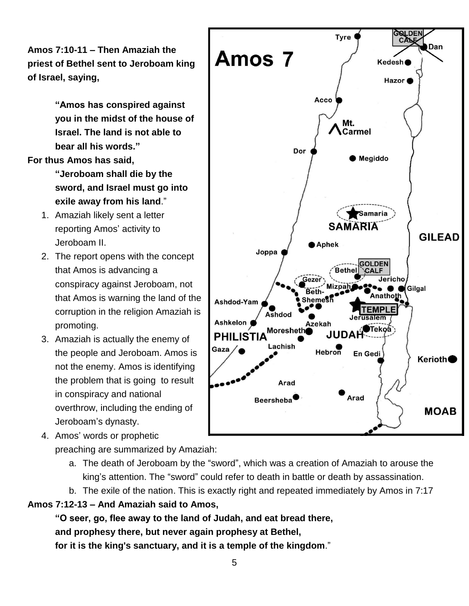**Amos 7:10-11 – Then Amaziah the priest of Bethel sent to Jeroboam king of Israel, saying,** 

> **"Amos has conspired against you in the midst of the house of Israel. The land is not able to bear all his words."**

**For thus Amos has said,**

- **"Jeroboam shall die by the sword, and Israel must go into exile away from his land**."
- 1. Amaziah likely sent a letter reporting Amos' activity to Jeroboam II.
- 2. The report opens with the concept that Amos is advancing a conspiracy against Jeroboam, not that Amos is warning the land of the corruption in the religion Amaziah is promoting.
- 3. Amaziah is actually the enemy of the people and Jeroboam. Amos is not the enemy. Amos is identifying the problem that is going to result in conspiracy and national overthrow, including the ending of Jeroboam's dynasty.
- 4. Amos' words or prophetic preaching are summarized by Amaziah:
	- a. The death of Jeroboam by the "sword", which was a creation of Amaziah to arouse the king's attention. The "sword" could refer to death in battle or death by assassination.
	- b. The exile of the nation. This is exactly right and repeated immediately by Amos in 7:17

**Amos 7:12-13 – And Amaziah said to Amos,**

**"O seer, go, flee away to the land of Judah, and eat bread there, and prophesy there, but never again prophesy at Bethel, for it is the king's sanctuary, and it is a temple of the kingdom**."

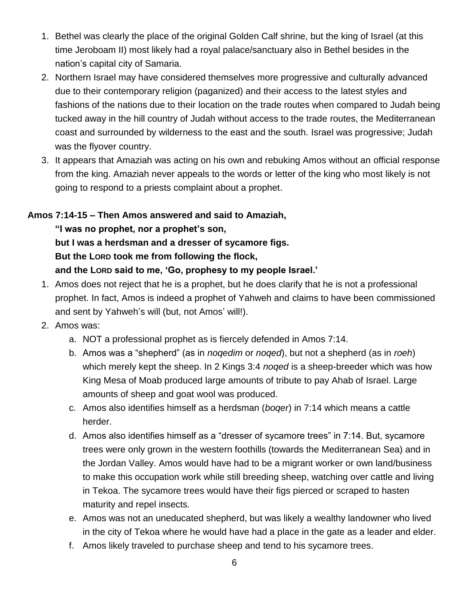- 1. Bethel was clearly the place of the original Golden Calf shrine, but the king of Israel (at this time Jeroboam II) most likely had a royal palace/sanctuary also in Bethel besides in the nation's capital city of Samaria.
- 2. Northern Israel may have considered themselves more progressive and culturally advanced due to their contemporary religion (paganized) and their access to the latest styles and fashions of the nations due to their location on the trade routes when compared to Judah being tucked away in the hill country of Judah without access to the trade routes, the Mediterranean coast and surrounded by wilderness to the east and the south. Israel was progressive; Judah was the flyover country.
- 3. It appears that Amaziah was acting on his own and rebuking Amos without an official response from the king. Amaziah never appeals to the words or letter of the king who most likely is not going to respond to a priests complaint about a prophet.

#### **Amos 7:14-15 – Then Amos answered and said to Amaziah,**

**"I was no prophet, nor a prophet's son, but I was a herdsman and a dresser of sycamore figs. But the LORD took me from following the flock, and the LORD said to me, 'Go, prophesy to my people Israel.'** 

- 1. Amos does not reject that he is a prophet, but he does clarify that he is not a professional prophet. In fact, Amos is indeed a prophet of Yahweh and claims to have been commissioned and sent by Yahweh's will (but, not Amos' will!).
- 2. Amos was:
	- a. NOT a professional prophet as is fiercely defended in Amos 7:14.
	- b. Amos was a "shepherd" (as in *noqedim* or *noqed*), but not a shepherd (as in *roeh*) which merely kept the sheep. In 2 Kings 3:4 *noqed* is a sheep-breeder which was how King Mesa of Moab produced large amounts of tribute to pay Ahab of Israel. Large amounts of sheep and goat wool was produced.
	- c. Amos also identifies himself as a herdsman (*boqer*) in 7:14 which means a cattle herder.
	- d. Amos also identifies himself as a "dresser of sycamore trees" in 7:14. But, sycamore trees were only grown in the western foothills (towards the Mediterranean Sea) and in the Jordan Valley. Amos would have had to be a migrant worker or own land/business to make this occupation work while still breeding sheep, watching over cattle and living in Tekoa. The sycamore trees would have their figs pierced or scraped to hasten maturity and repel insects.
	- e. Amos was not an uneducated shepherd, but was likely a wealthy landowner who lived in the city of Tekoa where he would have had a place in the gate as a leader and elder.
	- f. Amos likely traveled to purchase sheep and tend to his sycamore trees.